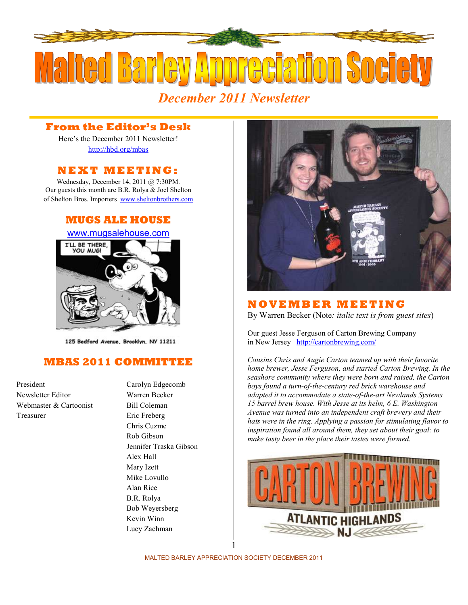

# **From the Editor's Desk**

Here's the December 2011 Newsletter! <http://hbd.org/mbas>

# **N E X T M E E T I N G :**

Wednesday, December 14, 2011 @ 7:30PM. Our guests this month are B.R. Rolya & Joel Shelton of Shelton Bros. Importers <www.sheltonbrothers.com>

# **MUGS ALE HOUSE**



125 Bedford Avenue, Brooklyn, NY 11211

# **MBAS 2011 COMMITTEE**

President Carolyn Edgecomb Newsletter Editor Warren Becker Webmaster & Cartoonist Bill Coleman Treasurer Eric Freberg

Chris Cuzme Rob Gibson Jennifer Traska Gibson Alex Hall Mary Izett Mike Lovullo Alan Rice B.R. Rolya Bob Weyersberg Kevin Winn Lucy Zachman



## **N O V E MB E R M E E T I N G**

By Warren Becker (Note*: italic text is from guest sites*)

Our guest Jesse Ferguson of Carton Brewing Company in New Jersey <http://cartonbrewing.com/>

*Cousins Chris and Augie Carton teamed up with their favorite home brewer, Jesse Ferguson, and started Carton Brewing. In the seashore community where they were born and raised, the Carton boys found a turn-of-the-century red brick warehouse and adapted it to accommodate a state-of-the-art Newlands Systems 15 barrel brew house. With Jesse at its helm, 6 E. Washington Avenue was turned into an independent craft brewery and their hats were in the ring. Applying a passion for stimulating flavor to inspiration found all around them, they set about their goal: to make tasty beer in the place their tastes were formed.* 



MALTED BARLEY APPRECIATION SOCIETY DECEMBER 2011 1